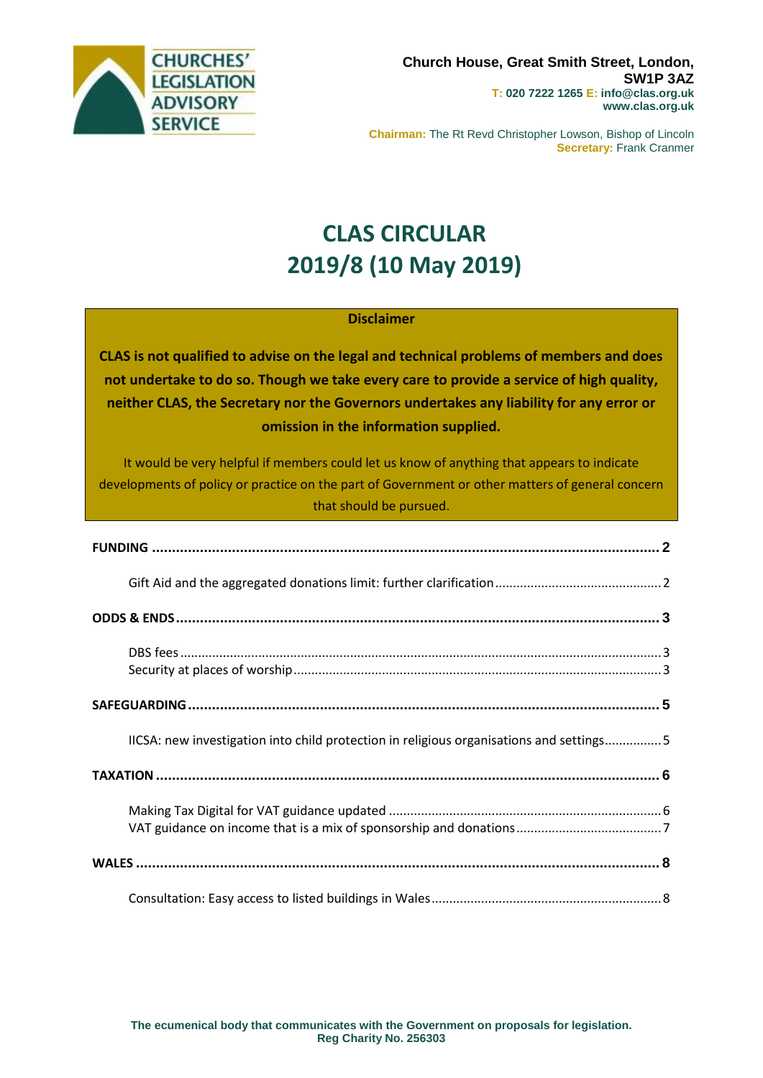

**Chairman:** The Rt Revd Christopher Lowson, Bishop of Lincoln **Secretary:** Frank Cranmer

# **CLAS CIRCULAR 2019/8 (10 May 2019)**

## **Disclaimer**

**CLAS is not qualified to advise on the legal and technical problems of members and does not undertake to do so. Though we take every care to provide a service of high quality, neither CLAS, the Secretary nor the Governors undertakes any liability for any error or omission in the information supplied.**

It would be very helpful if members could let us know of anything that appears to indicate developments of policy or practice on the part of Government or other matters of general concern that should be pursued.

| IICSA: new investigation into child protection in religious organisations and settings5 |  |
|-----------------------------------------------------------------------------------------|--|
|                                                                                         |  |
|                                                                                         |  |
|                                                                                         |  |
|                                                                                         |  |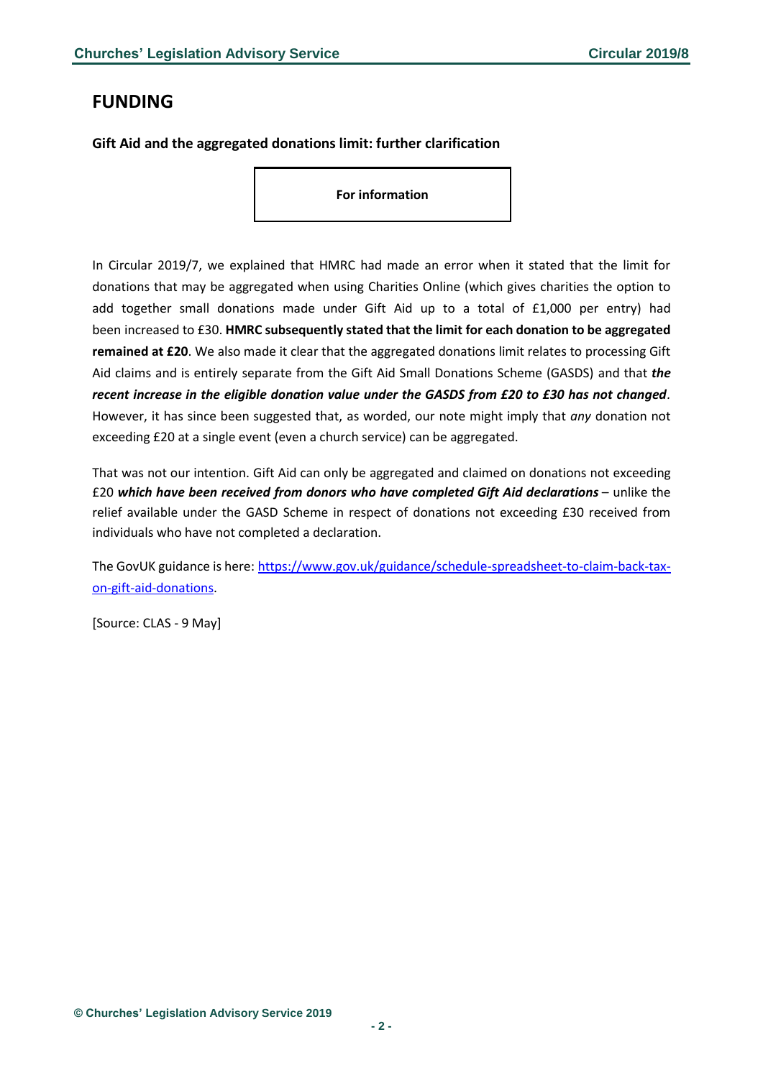## <span id="page-1-0"></span>**FUNDING**

<span id="page-1-1"></span>**Gift Aid and the aggregated donations limit: further clarification**

**For information**

In Circular 2019/7, we explained that HMRC had made an error when it stated that the limit for donations that may be aggregated when using Charities Online (which gives charities the option to add together small donations made under Gift Aid up to a total of £1,000 per entry) had been increased to £30. **HMRC subsequently stated that the limit for each donation to be aggregated remained at £20**. We also made it clear that the aggregated donations limit relates to processing Gift Aid claims and is entirely separate from the Gift Aid Small Donations Scheme (GASDS) and that *the recent increase in the eligible donation value under the GASDS from £20 to £30 has not changed.* However, it has since been suggested that, as worded, our note might imply that *any* donation not exceeding £20 at a single event (even a church service) can be aggregated.

That was not our intention. Gift Aid can only be aggregated and claimed on donations not exceeding £20 *which have been received from donors who have completed Gift Aid declarations* – unlike the relief available under the GASD Scheme in respect of donations not exceeding £30 received from individuals who have not completed a declaration.

The GovUK guidance is here: [https://www.gov.uk/guidance/schedule-spreadsheet-to-claim-back-tax](https://www.gov.uk/guidance/schedule-spreadsheet-to-claim-back-tax-on-gift-aid-donations)[on-gift-aid-donations.](https://www.gov.uk/guidance/schedule-spreadsheet-to-claim-back-tax-on-gift-aid-donations)

[Source: CLAS - 9 May]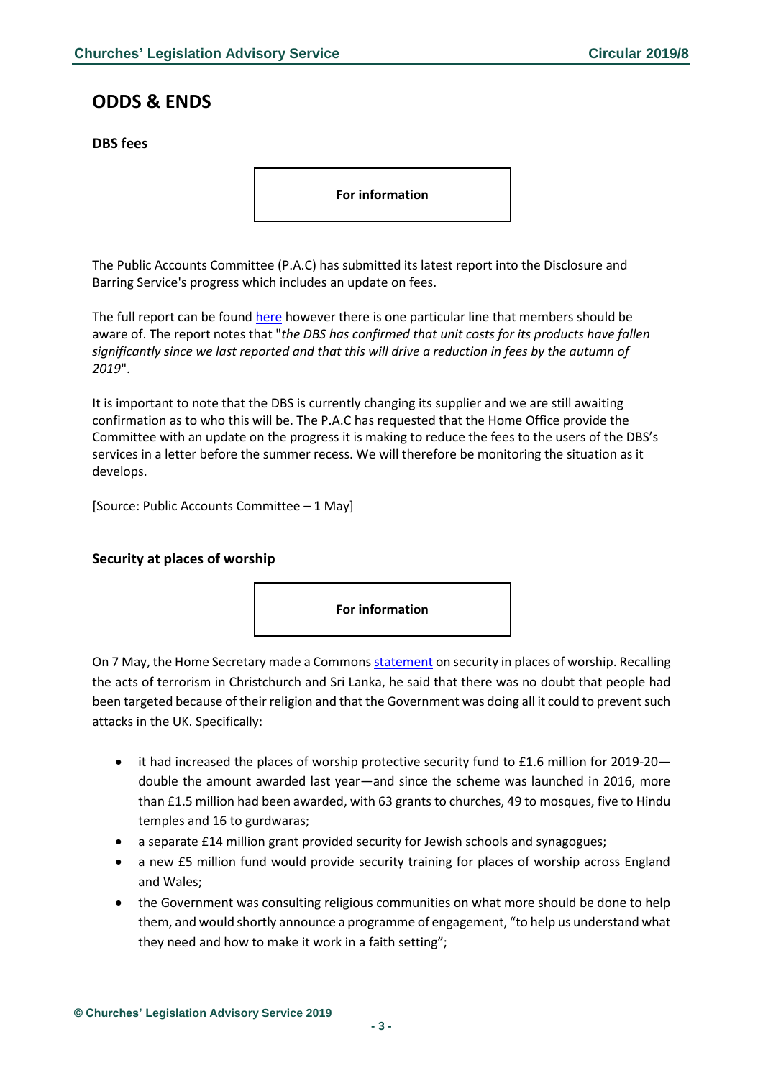## <span id="page-2-0"></span>**ODDS & ENDS**

<span id="page-2-1"></span>**DBS fees**

**For information**

The Public Accounts Committee (P.A.C) has submitted its latest report into the Disclosure and Barring Service's progress which includes an update on fees.

The full report can be found [here](https://publications.parliament.uk/pa/cm201719/cmselect/cmpubacc/2006/200602.htm) however there is one particular line that members should be aware of. The report notes that "*the DBS has confirmed that unit costs for its products have fallen significantly since we last reported and that this will drive a reduction in fees by the autumn of 2019*".

It is important to note that the DBS is currently changing its supplier and we are still awaiting confirmation as to who this will be. The P.A.C has requested that the Home Office provide the Committee with an update on the progress it is making to reduce the fees to the users of the DBS's services in a letter before the summer recess. We will therefore be monitoring the situation as it develops.

[Source: Public Accounts Committee – 1 May]

#### <span id="page-2-2"></span>**Security at places of worship**



On 7 May, the Home Secretary made a Common[s statement](https://hansard.parliament.uk/commons/2019-05-07/debates/21C4190A-5CAB-43DA-8360-AA944753E549/PlacesOfWorshipSecurityFunding) on security in places of worship. Recalling the acts of terrorism in Christchurch and Sri Lanka, he said that there was no doubt that people had been targeted because of their religion and that the Government was doing all it could to prevent such attacks in the UK. Specifically:

- it had increased the places of worship protective security fund to £1.6 million for 2019-20 double the amount awarded last year—and since the scheme was launched in 2016, more than £1.5 million had been awarded, with 63 grants to churches, 49 to mosques, five to Hindu temples and 16 to gurdwaras;
- a separate £14 million grant provided security for Jewish schools and synagogues;
- a new £5 million fund would provide security training for places of worship across England and Wales;
- the Government was consulting religious communities on what more should be done to help them, and would shortly announce a programme of engagement, "to help us understand what they need and how to make it work in a faith setting";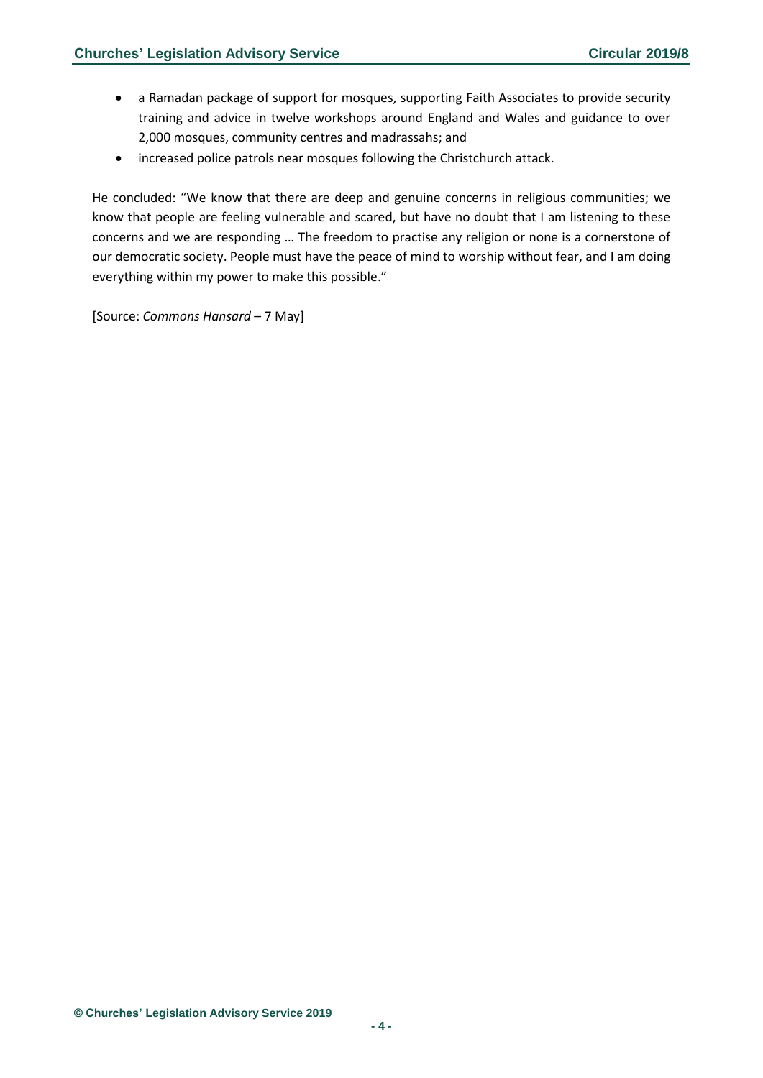- a Ramadan package of support for mosques, supporting Faith Associates to provide security training and advice in twelve workshops around England and Wales and guidance to over 2,000 mosques, community centres and madrassahs; and
- increased police patrols near mosques following the Christchurch attack.

He concluded: "We know that there are deep and genuine concerns in religious communities; we know that people are feeling vulnerable and scared, but have no doubt that I am listening to these concerns and we are responding … The freedom to practise any religion or none is a cornerstone of our democratic society. People must have the peace of mind to worship without fear, and I am doing everything within my power to make this possible."

[Source: *Commons Hansard* – 7 May]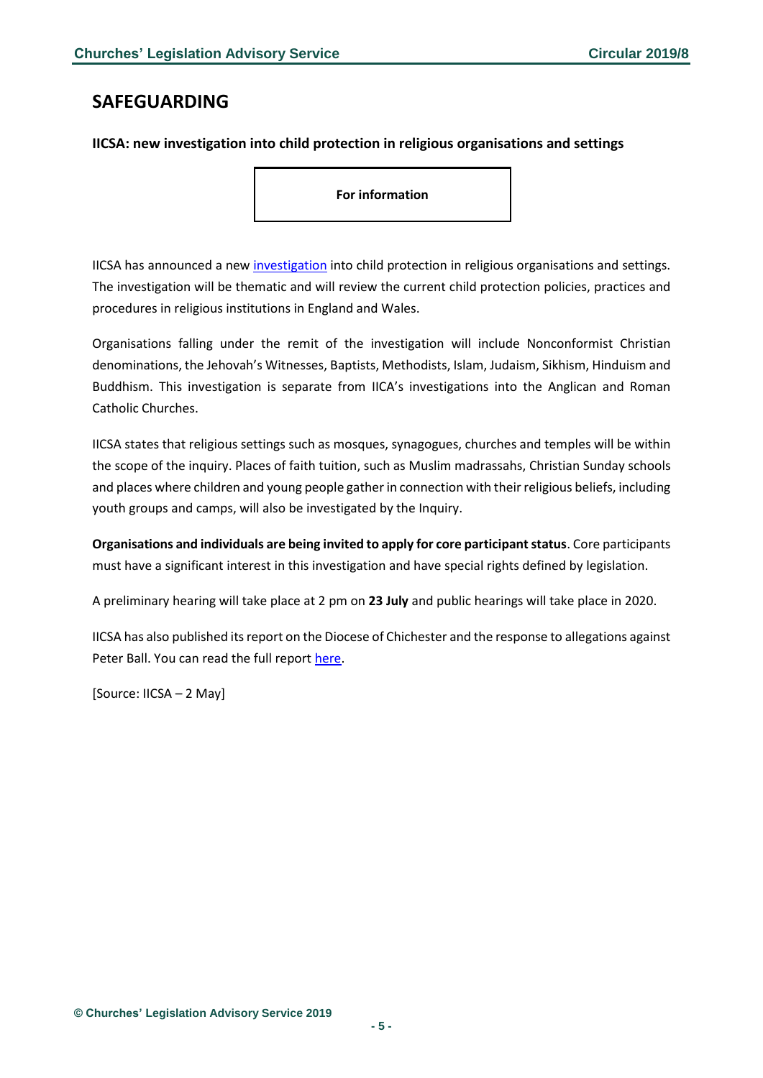## <span id="page-4-0"></span>**SAFEGUARDING**

#### <span id="page-4-1"></span>**IICSA: new investigation into child protection in religious organisations and settings**

**For information**

IICSA has announced a new [investigation](https://www.iicsa.org.uk/investigation/child-protection-religious-organisations-and-settings) into child protection in religious organisations and settings. The investigation will be thematic and will review the current child protection policies, practices and procedures in religious institutions in England and Wales.

Organisations falling under the remit of the investigation will include Nonconformist Christian denominations, the Jehovah's Witnesses, Baptists, Methodists, Islam, Judaism, Sikhism, Hinduism and Buddhism. This investigation is separate from IICA's investigations into the Anglican and Roman Catholic Churches.

IICSA states that religious settings such as mosques, synagogues, churches and temples will be within the scope of the inquiry. Places of faith tuition, such as Muslim madrassahs, Christian Sunday schools and places where children and young people gather in connection with their religious beliefs, including youth groups and camps, will also be investigated by the Inquiry.

**Organisations and individuals are being invited to apply for core participant status**. Core participants must have a significant interest in this investigation and have special rights defined by legislation.

A preliminary hearing will take place at 2 pm on **23 July** and public hearings will take place in 2020.

IICSA has also published its report on the Diocese of Chichester and the response to allegations against Peter Ball. You can read the full repor[t here.](https://www.iicsa.org.uk/news/inquiry-publishes-report-diocese-chichester-and-peter-ball)

[Source: IICSA – 2 May]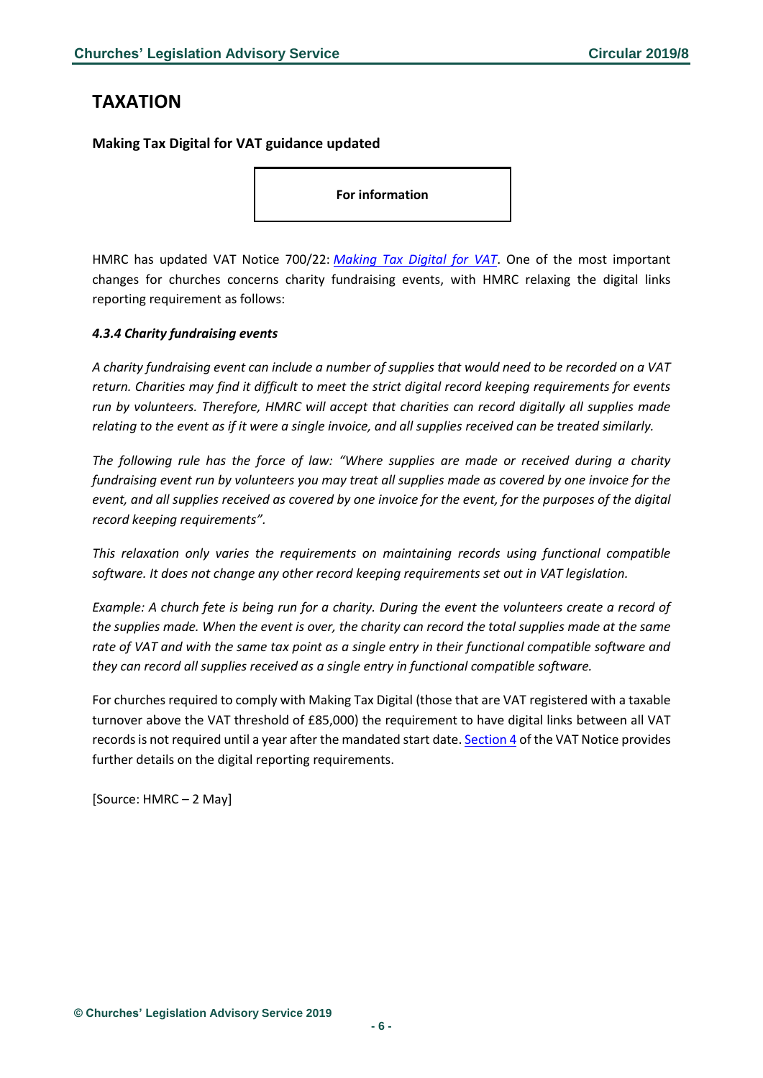# <span id="page-5-0"></span>**TAXATION**

## <span id="page-5-1"></span>**Making Tax Digital for VAT guidance updated**

**For information**

HMRC has updated VAT Notice 700/22: *[Making Tax Digital for VAT](https://www.gov.uk/government/publications/vat-notice-70022-making-tax-digital-for-vat/vat-notice-70022-making-tax-digital-for-vat)*. One of the most important changes for churches concerns charity fundraising events, with HMRC relaxing the digital links reporting requirement as follows:

#### *4.3.4 Charity fundraising events*

*A charity fundraising event can include a number of supplies that would need to be recorded on a VAT return. Charities may find it difficult to meet the strict digital record keeping requirements for events run by volunteers. Therefore, HMRC will accept that charities can record digitally all supplies made relating to the event as if it were a single invoice, and all supplies received can be treated similarly.*

*The following rule has the force of law: "Where supplies are made or received during a charity fundraising event run by volunteers you may treat all supplies made as covered by one invoice for the event, and all supplies received as covered by one invoice for the event, for the purposes of the digital record keeping requirements".*

*This relaxation only varies the requirements on maintaining records using functional compatible software. It does not change any other record keeping requirements set out in VAT legislation.*

*Example: A church fete is being run for a charity. During the event the volunteers create a record of the supplies made. When the event is over, the charity can record the total supplies made at the same rate of VAT and with the same tax point as a single entry in their functional compatible software and they can record all supplies received as a single entry in functional compatible software.*

For churches required to comply with Making Tax Digital (those that are VAT registered with a taxable turnover above the VAT threshold of £85,000) the requirement to have digital links between all VAT records is not required until a year after the mandated start date[. Section 4](https://www.gov.uk/government/publications/vat-notice-70022-making-tax-digital-for-vat/vat-notice-70022-making-tax-digital-for-vat#digital-record-keeping) of the VAT Notice provides further details on the digital reporting requirements.

[Source: HMRC – 2 May]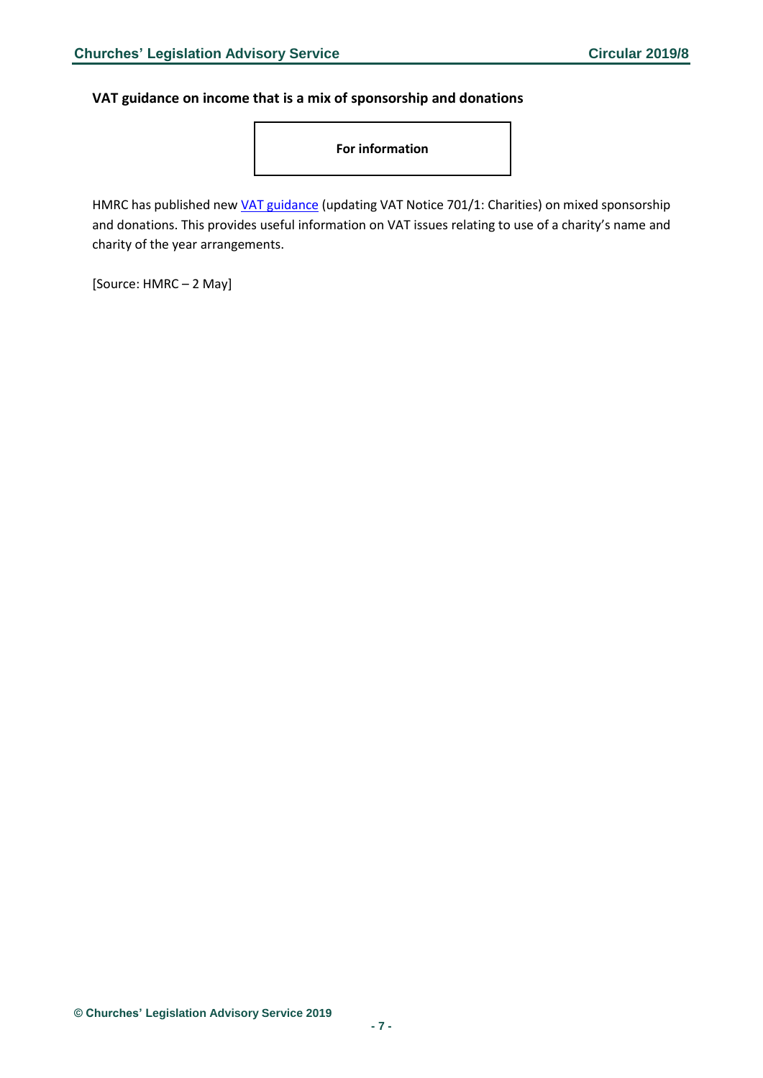#### <span id="page-6-0"></span>**VAT guidance on income that is a mix of sponsorship and donations**

**For information**

HMRC has published new *VAT guidance* (updating VAT Notice 701/1: Charities) on mixed sponsorship and donations. This provides useful information on VAT issues relating to use of a charity's name and charity of the year arrangements.

[Source: HMRC – 2 May]